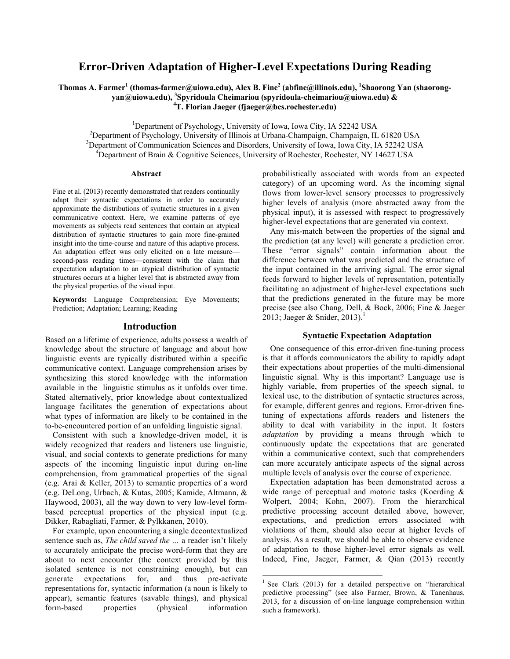# **Error-Driven Adaptation of Higher-Level Expectations During Reading**

**Thomas A. Farmer1 (thomas-farmer@uiowa.edu), Alex B. Fine2 (abfine@illinois.edu), <sup>1</sup> Shaorong Yan (shaorongyan@uiowa.edu), <sup>3</sup> Spyridoula Cheimariou (spyridoula-cheimariou@uiowa.edu) & <sup>4</sup> T. Florian Jaeger (fjaeger@bcs.rochester.edu)**

<sup>1</sup> Department of Psychology, University of Iowa, Iowa City, IA 52242 USA<br><sup>2</sup> Department of Psychology, University of Ulipeia at Urbane Champeign Champeign, U

 $\alpha^2$ Department of Psychology, University of Illinois at Urbana-Champaign, Champaign, IL 61820 USA  $3$ Department of Communication Sciences and Disorders, University of Iowa, Iowa City, IA 52242 USA <sup>4</sup>Department of Brain  $\&$  Cognitive Sciences, University of Rochester, Rochester, NY 14627 USA

#### **Abstract**

Fine et al. (2013) recently demonstrated that readers continually adapt their syntactic expectations in order to accurately approximate the distributions of syntactic structures in a given communicative context. Here, we examine patterns of eye movements as subjects read sentences that contain an atypical distribution of syntactic structures to gain more fine-grained insight into the time-course and nature of this adaptive process. An adaptation effect was only elicited on a late measure second-pass reading times—consistent with the claim that expectation adaptation to an atypical distribution of syntactic structures occurs at a higher level that is abstracted away from the physical properties of the visual input.

**Keywords:** Language Comprehension; Eye Movements; Prediction; Adaptation; Learning; Reading

# **Introduction**

Based on a lifetime of experience, adults possess a wealth of knowledge about the structure of language and about how linguistic events are typically distributed within a specific communicative context. Language comprehension arises by synthesizing this stored knowledge with the information available in the linguistic stimulus as it unfolds over time. Stated alternatively, prior knowledge about contextualized language facilitates the generation of expectations about what types of information are likely to be contained in the to-be-encountered portion of an unfolding linguistic signal.

Consistent with such a knowledge-driven model, it is widely recognized that readers and listeners use linguistic, visual, and social contexts to generate predictions for many aspects of the incoming linguistic input during on-line comprehension, from grammatical properties of the signal (e.g. Arai & Keller, 2013) to semantic properties of a word (e.g. DeLong, Urbach, & Kutas, 2005; Kamide, Altmann, & Haywood, 2003), all the way down to very low-level formbased perceptual properties of the physical input (e.g. Dikker, Rabagliati, Farmer, & Pylkkanen, 2010).

For example, upon encountering a single decontextualized sentence such as, *The child saved the …* a reader isn't likely to accurately anticipate the precise word-form that they are about to next encounter (the context provided by this isolated sentence is not constraining enough), but can generate expectations for, and thus pre-activate representations for, syntactic information (a noun is likely to appear), semantic features (savable things), and physical form-based properties (physical information

probabilistically associated with words from an expected category) of an upcoming word. As the incoming signal flows from lower-level sensory processes to progressively higher levels of analysis (more abstracted away from the physical input), it is assessed with respect to progressively higher-level expectations that are generated via context.

Any mis-match between the properties of the signal and the prediction (at any level) will generate a prediction error. These "error signals" contain information about the difference between what was predicted and the structure of the input contained in the arriving signal. The error signal feeds forward to higher levels of representation, potentially facilitating an adjustment of higher-level expectations such that the predictions generated in the future may be more precise (see also Chang, Dell, & Bock, 2006; Fine & Jaeger 2013; Jaeger & Snider, 2013).<sup>1</sup>

#### **Syntactic Expectation Adaptation**

One consequence of this error-driven fine-tuning process is that it affords communicators the ability to rapidly adapt their expectations about properties of the multi-dimensional linguistic signal. Why is this important? Language use is highly variable, from properties of the speech signal, to lexical use, to the distribution of syntactic structures across, for example, different genres and regions. Error-driven finetuning of expectations affords readers and listeners the ability to deal with variability in the input. It fosters *adaptation* by providing a means through which to continuously update the expectations that are generated within a communicative context, such that comprehenders can more accurately anticipate aspects of the signal across multiple levels of analysis over the course of experience.

Expectation adaptation has been demonstrated across a wide range of perceptual and motoric tasks (Koerding & Wolpert, 2004; Kohn, 2007). From the hierarchical predictive processing account detailed above, however, expectations, and prediction errors associated with violations of them, should also occur at higher levels of analysis. As a result, we should be able to observe evidence of adaptation to those higher-level error signals as well. Indeed, Fine, Jaeger, Farmer, & Qian (2013) recently

<sup>&</sup>lt;sup>1</sup> See Clark (2013) for a detailed perspective on "hierarchical" predictive processing" (see also Farmer, Brown, & Tanenhaus, 2013, for a discussion of on-line language comprehension within such a framework).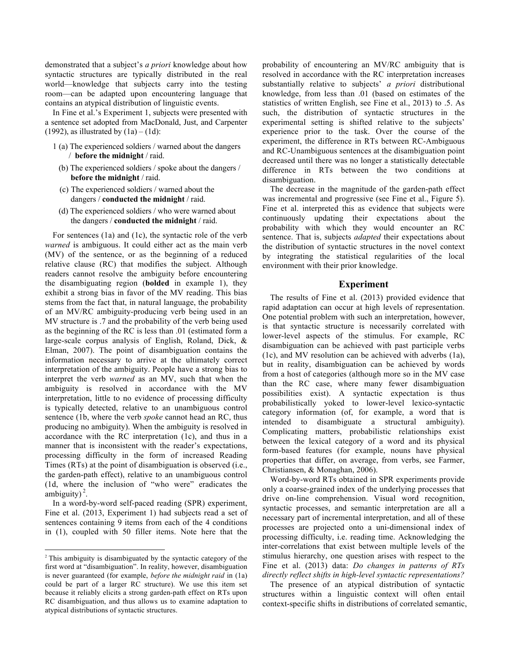demonstrated that a subject's *a priori* knowledge about how syntactic structures are typically distributed in the real world—knowledge that subjects carry into the testing room—can be adapted upon encountering language that contains an atypical distribution of linguistic events.

In Fine et al.'s Experiment 1, subjects were presented with a sentence set adopted from MacDonald, Just, and Carpenter (1992), as illustrated by  $(1a) - (1d)$ :

- 1 (a) The experienced soldiers / warned about the dangers / **before the midnight** / raid.
	- (b) The experienced soldiers / spoke about the dangers / **before the midnight** / raid.
	- (c) The experienced soldiers / warned about the dangers / **conducted the midnight** / raid.
	- (d) The experienced soldiers / who were warned about the dangers / **conducted the midnight** / raid.

For sentences (1a) and (1c), the syntactic role of the verb *warned* is ambiguous. It could either act as the main verb (MV) of the sentence, or as the beginning of a reduced relative clause (RC) that modifies the subject. Although readers cannot resolve the ambiguity before encountering the disambiguating region (**bolded** in example 1), they exhibit a strong bias in favor of the MV reading. This bias stems from the fact that, in natural language, the probability of an MV/RC ambiguity-producing verb being used in an MV structure is .7 and the probability of the verb being used as the beginning of the RC is less than .01 (estimated form a large-scale corpus analysis of English, Roland, Dick, & Elman, 2007). The point of disambiguation contains the information necessary to arrive at the ultimately correct interpretation of the ambiguity. People have a strong bias to interpret the verb *warned* as an MV, such that when the ambiguity is resolved in accordance with the MV interpretation, little to no evidence of processing difficulty is typically detected, relative to an unambiguous control sentence (1b, where the verb *spoke* cannot head an RC, thus producing no ambiguity). When the ambiguity is resolved in accordance with the RC interpretation (1c), and thus in a manner that is inconsistent with the reader's expectations, processing difficulty in the form of increased Reading Times (RTs) at the point of disambiguation is observed (i.e., the garden-path effect), relative to an unambiguous control (1d, where the inclusion of "who were" eradicates the ambiguity) $^2$ .

In a word-by-word self-paced reading (SPR) experiment, Fine et al. (2013, Experiment 1) had subjects read a set of sentences containing 9 items from each of the 4 conditions in (1), coupled with 50 filler items. Note here that the

probability of encountering an MV/RC ambiguity that is resolved in accordance with the RC interpretation increases substantially relative to subjects' *a priori* distributional knowledge, from less than .01 (based on estimates of the statistics of written English, see Fine et al., 2013) to .5. As such, the distribution of syntactic structures in the experimental setting is shifted relative to the subjects' experience prior to the task. Over the course of the experiment, the difference in RTs between RC-Ambiguous and RC-Unambiguous sentences at the disambiguation point decreased until there was no longer a statistically detectable difference in RTs between the two conditions at disambiguation.

The decrease in the magnitude of the garden-path effect was incremental and progressive (see Fine et al., Figure 5). Fine et al. interpreted this as evidence that subjects were continuously updating their expectations about the probability with which they would encounter an RC sentence. That is, subjects *adapted* their expectations about the distribution of syntactic structures in the novel context by integrating the statistical regularities of the local environment with their prior knowledge.

# **Experiment**

The results of Fine et al. (2013) provided evidence that rapid adaptation can occur at high levels of representation. One potential problem with such an interpretation, however, is that syntactic structure is necessarily correlated with lower-level aspects of the stimulus. For example, RC disambiguation can be achieved with past participle verbs (1c), and MV resolution can be achieved with adverbs (1a), but in reality, disambiguation can be achieved by words from a host of categories (although more so in the MV case than the RC case, where many fewer disambiguation possibilities exist). A syntactic expectation is thus probabilistically yoked to lower-level lexico-syntactic category information (of, for example, a word that is intended to disambiguate a structural ambiguity). Complicating matters, probabilistic relationships exist between the lexical category of a word and its physical form-based features (for example, nouns have physical properties that differ, on average, from verbs, see Farmer, Christiansen, & Monaghan, 2006).

Word-by-word RTs obtained in SPR experiments provide only a coarse-grained index of the underlying processes that drive on-line comprehension. Visual word recognition, syntactic processes, and semantic interpretation are all a necessary part of incremental interpretation, and all of these processes are projected onto a uni-dimensional index of processing difficulty, i.e. reading time. Acknowledging the inter-correlations that exist between multiple levels of the stimulus hierarchy, one question arises with respect to the Fine et al. (2013) data: *Do changes in patterns of RTs directly reflect shifts in high-level syntactic representations?*

The presence of an atypical distribution of syntactic structures within a linguistic context will often entail context-specific shifts in distributions of correlated semantic,

 <sup>2</sup> This ambiguity is disambiguated by the syntactic category of the first word at "disambiguation". In reality, however, disambiguation is never guaranteed (for example, *before the midnight raid* in (1a) could be part of a larger RC structure). We use this item set because it reliably elicits a strong garden-path effect on RTs upon RC disambiguation, and thus allows us to examine adaptation to atypical distributions of syntactic structures.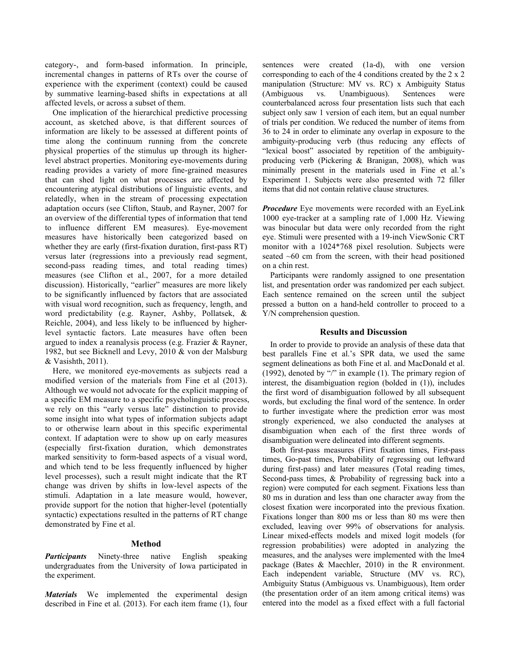category-, and form-based information. In principle, incremental changes in patterns of RTs over the course of experience with the experiment (context) could be caused by summative learning-based shifts in expectations at all affected levels, or across a subset of them.

One implication of the hierarchical predictive processing account, as sketched above, is that different sources of information are likely to be assessed at different points of time along the continuum running from the concrete physical properties of the stimulus up through its higherlevel abstract properties. Monitoring eye-movements during reading provides a variety of more fine-grained measures that can shed light on what processes are affected by encountering atypical distributions of linguistic events, and relatedly, when in the stream of processing expectation adaptation occurs (see Clifton, Staub, and Rayner, 2007 for an overview of the differential types of information that tend to influence different EM measures). Eye-movement measures have historically been categorized based on whether they are early (first-fixation duration, first-pass RT) versus later (regressions into a previously read segment, second-pass reading times, and total reading times) measures (see Clifton et al., 2007, for a more detailed discussion). Historically, "earlier" measures are more likely to be significantly influenced by factors that are associated with visual word recognition, such as frequency, length, and word predictability (e.g. Rayner, Ashby, Pollatsek, & Reichle, 2004), and less likely to be influenced by higherlevel syntactic factors. Late measures have often been argued to index a reanalysis process (e.g. Frazier & Rayner, 1982, but see Bicknell and Levy, 2010 & von der Malsburg & Vasishth, 2011).

Here, we monitored eye-movements as subjects read a modified version of the materials from Fine et al (2013). Although we would not advocate for the explicit mapping of a specific EM measure to a specific psycholinguistic process, we rely on this "early versus late" distinction to provide some insight into what types of information subjects adapt to or otherwise learn about in this specific experimental context. If adaptation were to show up on early measures (especially first-fixation duration, which demonstrates marked sensitivity to form-based aspects of a visual word, and which tend to be less frequently influenced by higher level processes), such a result might indicate that the RT change was driven by shifts in low-level aspects of the stimuli. Adaptation in a late measure would, however, provide support for the notion that higher-level (potentially syntactic) expectations resulted in the patterns of RT change demonstrated by Fine et al.

#### **Method**

*Participants* Ninety-three native English speaking undergraduates from the University of Iowa participated in the experiment.

*Materials* We implemented the experimental design described in Fine et al. (2013). For each item frame (1), four sentences were created (1a-d), with one version corresponding to each of the 4 conditions created by the 2 x 2 manipulation (Structure: MV vs. RC) x Ambiguity Status (Ambiguous vs. Unambiguous). Sentences were counterbalanced across four presentation lists such that each subject only saw 1 version of each item, but an equal number of trials per condition. We reduced the number of items from 36 to 24 in order to eliminate any overlap in exposure to the ambiguity-producing verb (thus reducing any effects of "lexical boost" associated by repetition of the ambiguityproducing verb (Pickering & Branigan, 2008), which was minimally present in the materials used in Fine et al.'s Experiment 1. Subjects were also presented with 72 filler items that did not contain relative clause structures.

*Procedure* Eye movements were recorded with an EyeLink 1000 eye-tracker at a sampling rate of 1,000 Hz. Viewing was binocular but data were only recorded from the right eye. Stimuli were presented with a 19-inch ViewSonic CRT monitor with a 1024\*768 pixel resolution. Subjects were seated ~60 cm from the screen, with their head positioned on a chin rest.

Participants were randomly assigned to one presentation list, and presentation order was randomized per each subject. Each sentence remained on the screen until the subject pressed a button on a hand-held controller to proceed to a Y/N comprehension question.

#### **Results and Discussion**

In order to provide to provide an analysis of these data that best parallels Fine et al.'s SPR data, we used the same segment delineations as both Fine et al. and MacDonald et al. (1992), denoted by "/" in example (1). The primary region of interest, the disambiguation region (bolded in (1)), includes the first word of disambiguation followed by all subsequent words, but excluding the final word of the sentence. In order to further investigate where the prediction error was most strongly experienced, we also conducted the analyses at disambiguation when each of the first three words of disambiguation were delineated into different segments.

Both first-pass measures (First fixation times, First-pass times, Go-past times, Probability of regressing out leftward during first-pass) and later measures (Total reading times, Second-pass times, & Probability of regressing back into a region) were computed for each segment. Fixations less than 80 ms in duration and less than one character away from the closest fixation were incorporated into the previous fixation. Fixations longer than 800 ms or less than 80 ms were then excluded, leaving over 99% of observations for analysis. Linear mixed-effects models and mixed logit models (for regression probabilities) were adopted in analyzing the measures, and the analyses were implemented with the lme4 package (Bates & Maechler, 2010) in the R environment. Each independent variable, Structure (MV vs. RC), Ambiguity Status (Ambiguous vs. Unambiguous), Item order (the presentation order of an item among critical items) was entered into the model as a fixed effect with a full factorial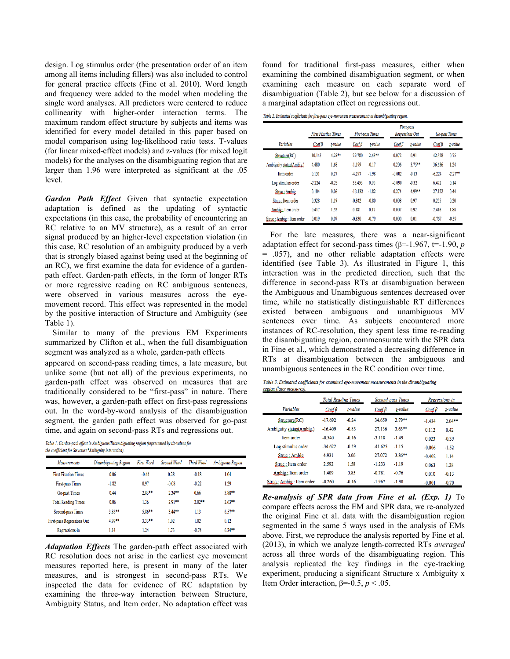design. Log stimulus order (the presentation order of an item among all items including fillers) was also included to control for general practice effects (Fine et al. 2010). Word length and frequency were added to the model when modeling the single word analyses. All predictors were centered to reduce collinearity with higher-order interaction terms. The maximum random effect structure by subjects and items was identified for every model detailed in this paper based on model comparison using log-likelihood ratio tests. T-values (for linear mixed-effect models) and z-values (for mixed logit models) for the analyses on the disambiguating region that are larger than 1.96 were interpreted as significant at the .05 level.

*Garden Path Effect* Given that syntactic expectation adaptation is defined as the updating of syntactic expectations (in this case, the probability of encountering an RC relative to an MV structure), as a result of an error signal produced by an higher-level expectation violation (in this case, RC resolution of an ambiguity produced by a verb that is strongly biased against being used at the beginning of an RC), we first examine the data for evidence of a gardenpath effect. Garden-path effects, in the form of longer RTs or more regressive reading on RC ambiguous sentences, were observed in various measures across the eyemovement record. This effect was represented in the model by the positive interaction of Structure and Ambiguity (see Table 1).

Similar to many of the previous EM Experiments summarized by Clifton et al., when the full disambiguation segment was analyzed as a whole, garden-path effects

appeared on second-pass reading times, a late measure, but unlike some (but not all) of the previous experiments, no garden-path effect was observed on measures that are traditionally considered to be "first-pass" in nature. There was, however, a garden-path effect on first-pass regressions out. In the word-by-word analysis of the disambiguation segment, the garden path effect was observed for go-past time, and again on second-pass RTs and regressions out.

Table 1. Garden-path effect in Ambiguous/Disambiguating region (represented by t/z-values for the coefficient for Structure\*Ambiguity interaction).

| <b>Measurements</b>         | Disambiguating Region | <b>First Word</b> | Second Word | Third Word | <b>Ambiguous Region</b> |
|-----------------------------|-----------------------|-------------------|-------------|------------|-------------------------|
| <b>First Fixation Times</b> | 0.06                  | $-0.44$           | 0.28        | $-0.18$    | 1.04                    |
| First-pass Times            | $-1.82$               | 0.97              | $-0.08$     | $-0.22$    | 1.29                    |
| Go-past Times               | 0.44                  | $2.83**$          | $2.34**$    | 0.66       | $3.88**$                |
| <b>Total Reading Times</b>  | 0.06                  | 1.36              | $2.91**$    | $2.02**$   | $2.63**$                |
| Second-pass Times           | $3.86**$              | $5.86**$          | $3.44**$    | 1.13       | $6.57**$                |
| First-pass Regressions Out  | 4.99**                | $3.33**$          | 1.02        | 1.02       | 0.12                    |
| Regressions-in              | 1.14                  | 1.24              | 1.73        | $-0.74$    | $6.24**$                |

*Adaptation Effects* The garden-path effect associated with RC resolution does not arise in the earliest eye movement measures reported here, is present in many of the later measures, and is strongest in second-pass RTs. We inspected the data for evidence of RC adaptation by examining the three-way interaction between Structure, Ambiguity Status, and Item order. No adaptation effect was

found for traditional first-pass measures, either when examining the combined disambiguation segment, or when examining each measure on each separate word of disambiguation (Table 2), but see below for a discussion of a marginal adaptation effect on regressions out.

Table 2. Estimated coefficients for first-pass eye-movement measurements at disambiguating region.

|                          | <b>First Fixation Times</b> |          | <b>First-pass Times</b> |          | First-pass<br><b>Regressions Out</b> | <b>Go-past Times</b> |                           |           |
|--------------------------|-----------------------------|----------|-------------------------|----------|--------------------------------------|----------------------|---------------------------|-----------|
| <b><i>Variables</i></b>  | $\text{Coeff} \beta$        | t-value  | $\text{Coeff}$ $\beta$  | t-value  | $\mathcal{C}$ gef $\beta$            | z-value              | $\mathcal{C}$ oef $\beta$ | z-value   |
| Structure(RC)            | 10.145                      | $4.25**$ | 29.780                  | $2.63**$ | 0.072                                | 0.91                 | 42.528                    | 0.75      |
| Ambiguity status(Ambig.) | 4.480                       | 1.68     | $-1.199$                | $-0.17$  | 0.206                                | $3.75**$             | 36.636                    | 1.24      |
| Item order               | 0.151                       | 0.27     | $-4.297$                | $-1.98$  | $-0.002$                             | $-0.13$              | $-6.224$                  | $-2.27**$ |
| Log stimulus order       | $-2.224$                    | $-0.23$  | 33.453                  | 0.90     | $-0.090$                             | $-0.32$              | 6.472                     | 0.14      |
| Struc: Ambig             | 0.104                       | 0.06     | $-13.132$               | $-1.82$  | 0.274                                | 4.99**               | 27.122                    | 0.44      |
| Struc: Item order        | 0.328                       | 1.19     | $-0.842$                | $-0.80$  | 0.008                                | 0.97                 | 0.255                     | 0.20      |
| Ambig: Item order        | 0.417                       | 1.52     | 0.181                   | 0.17     | 0.007                                | 0.92                 | 2.416                     | 1.88      |
| Struc: Ambig: Item order | 0.019                       | 0.07     | $-0.830$                | $-0.79$  | 0.000                                | 0.01                 | $-0.757$                  | $-0.59$   |

For the late measures, there was a near-significant adaptation effect for second-pass times ( $\beta$ =-1.967, t=-1.90, *p* = .057), and no other reliable adaptation effects were identified (see Table 3). As illustrated in Figure 1, this interaction was in the predicted direction, such that the difference in second-pass RTs at disambiguation between the Ambiguous and Unambiguous sentences decreased over time, while no statistically distinguishable RT differences existed between ambiguous and unambiguous MV sentences over time. As subjects encountered more instances of RC-resolution, they spent less time re-reading the disambiguating region, commensurate with the SPR data in Fine et al., which demonstrated a decreasing difference in RTs at disambiguation between the ambiguous and unambiguous sentences in the RC condition over time.

Table 3. Estimated coefficients for examined eye-movement measurements in the disambiguating region (later measures).

|                          | <b>Total Reading Times</b> |         |                           | <b>Second-pass Times</b> |                           | Regressions-in |  |
|--------------------------|----------------------------|---------|---------------------------|--------------------------|---------------------------|----------------|--|
| <b><i>Variables</i></b>  | $\mathcal{C}$ aef $\beta$  | t-value | $\mathcal{C}$ aef $\beta$ | t-value                  | $\mathcal{C}$ gef $\beta$ | z-value        |  |
| Structure(RC)            | $-17.692$                  | $-0.24$ | 34.659                    | $2.79**$                 | $-1.434$                  | $2.04**$       |  |
| Ambiguity status(Ambig.) | $-16.409$                  | $-0.83$ | 27.136                    | $3.63**$                 | 0.112                     | 0.42           |  |
| Item order               | $-0.540$                   | $-0.16$ | $-3.118$                  | $-1.49$                  | 0.023                     | $-0.39$        |  |
| Log stimulus order       | $-34.622$                  | $-0.59$ | $-41.625$                 | $-1.15$                  | $-0.006$                  | $-1.52$        |  |
| Struc: Ambig             | 4.931                      | 0.06    | 27.072                    | 3.86**                   | $-0.402$                  | 1.14           |  |
| Struc: Item order        | 2.592                      | 1.58    | $-1.233$                  | $-1.19$                  | 0.063                     | 1.28           |  |
| Ambig: Item order        | 1.409                      | 0.85    | $-0.781$                  | $-0.76$                  | 0.010                     | $-0.13$        |  |
| Struc: Ambig: Item order | $-0.260$                   | $-0.16$ | $-1.967$                  | $-1.90$                  | $-0.001$                  | $-0.70$        |  |

*Re-analysis of SPR data from Fine et al. (Exp. 1)* To compare effects across the EM and SPR data, we re-analyzed the original Fine et al. data with the disambiguation region segmented in the same 5 ways used in the analysis of EMs above. First, we reproduce the analysis reported by Fine et al. (2013), in which we analyze length-corrected RTs *averaged* across all three words of the disambiguating region. This analysis replicated the key findings in the eye-tracking experiment, producing a significant Structure x Ambiguity x Item Order interaction,  $β=-0.5, p < .05$ .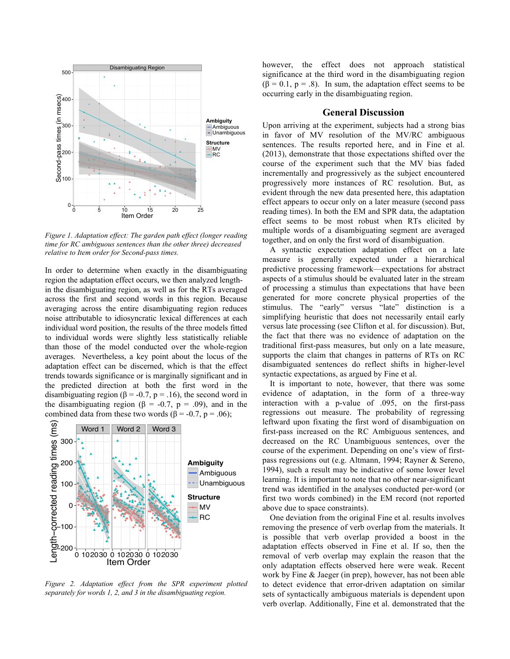

*Figure 1. Adaptation effect: The garden path effect (longer reading time for RC ambiguous sentences than the other three) decreased relative to Item order for Second-pass times.* 

In order to determine when exactly in the disambiguating region the adaptation effect occurs, we then analyzed lengthin the disambiguating region, as well as for the RTs averaged across the first and second words in this region. Because averaging across the entire disambiguating region reduces noise attributable to idiosyncratic lexical differences at each individual word position, the results of the three models fitted to individual words were slightly less statistically reliable than those of the model conducted over the whole-region averages. Nevertheless, a key point about the locus of the adaptation effect can be discerned, which is that the effect trends towards significance or is marginally significant and in the predicted direction at both the first word in the disambiguating region ( $\beta$  = -0.7, p = .16), the second word in the disambiguating region ( $\beta$  = -0.7, p = .09), and in the combined data from these two words ( $\beta$  = -0.7, p = .06);



*Figure 2. Adaptation effect from the SPR experiment plotted separately for words 1, 2, and 3 in the disambiguating region.*

however, the effect does not approach statistical significance at the third word in the disambiguating region  $(\beta = 0.1, p = .8)$ . In sum, the adaptation effect seems to be occurring early in the disambiguating region.

# **General Discussion**

Upon arriving at the experiment, subjects had a strong bias in favor of MV resolution of the MV/RC ambiguous sentences. The results reported here, and in Fine et al. (2013), demonstrate that those expectations shifted over the course of the experiment such that the MV bias faded incrementally and progressively as the subject encountered progressively more instances of RC resolution. But, as evident through the new data presented here, this adaptation effect appears to occur only on a later measure (second pass reading times). In both the EM and SPR data, the adaptation effect seems to be most robust when RTs elicited by multiple words of a disambiguating segment are averaged together, and on only the first word of disambiguation.

A syntactic expectation adaptation effect on a late measure is generally expected under a hierarchical predictive processing framework—expectations for abstract aspects of a stimulus should be evaluated later in the stream of processing a stimulus than expectations that have been generated for more concrete physical properties of the stimulus. The "early" versus "late" distinction is a simplifying heuristic that does not necessarily entail early versus late processing (see Clifton et al. for discussion). But, the fact that there was no evidence of adaptation on the traditional first-pass measures, but only on a late measure, supports the claim that changes in patterns of RTs on RC disambiguated sentences do reflect shifts in higher-level syntactic expectations, as argued by Fine et al.

It is important to note, however, that there was some evidence of adaptation, in the form of a three-way interaction with a p-value of .095, on the first-pass regressions out measure. The probability of regressing leftward upon fixating the first word of disambiguation on first-pass increased on the RC Ambiguous sentences, and decreased on the RC Unambiguous sentences, over the course of the experiment. Depending on one's view of firstpass regressions out (e.g. Altmann, 1994; Rayner & Sereno, 1994), such a result may be indicative of some lower level learning. It is important to note that no other near-significant trend was identified in the analyses conducted per-word (or first two words combined) in the EM record (not reported above due to space constraints).

One deviation from the original Fine et al. results involves removing the presence of verb overlap from the materials. It is possible that verb overlap provided a boost in the adaptation effects observed in Fine et al. If so, then the removal of verb overlap may explain the reason that the only adaptation effects observed here were weak. Recent work by Fine & Jaeger (in prep), however, has not been able to detect evidence that error-driven adaptation on similar sets of syntactically ambiguous materials is dependent upon verb overlap. Additionally, Fine et al. demonstrated that the